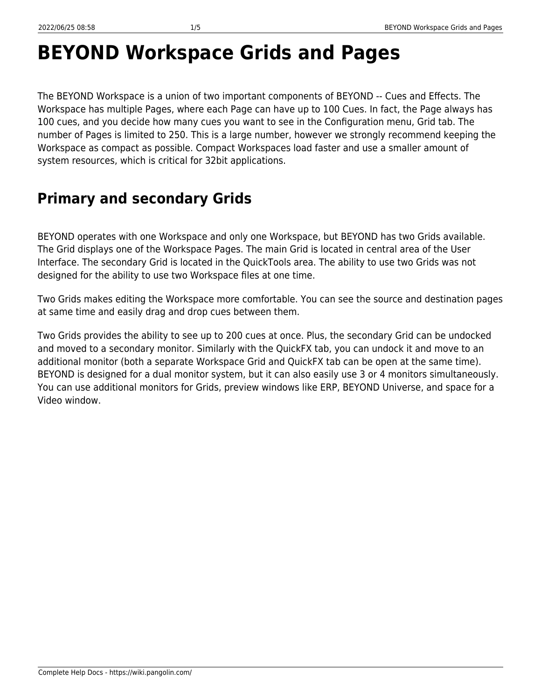# **BEYOND Workspace Grids and Pages**

The BEYOND Workspace is a union of two important components of BEYOND -‐ Cues and Effects. The Workspace has multiple Pages, where each Page can have up to 100 Cues. In fact, the Page always has 100 cues, and you decide how many cues you want to see in the Configuration menu, Grid tab. The number of Pages is limited to 250. This is a large number, however we strongly recommend keeping the Workspace as compact as possible. Compact Workspaces load faster and use a smaller amount of system resources, which is critical for 32bit applications.

#### **Primary and secondary Grids**

BEYOND operates with one Workspace and only one Workspace, but BEYOND has two Grids available. The Grid displays one of the Workspace Pages. The main Grid is located in central area of the User Interface. The secondary Grid is located in the QuickTools area. The ability to use two Grids was not designed for the ability to use two Workspace files at one time.

Two Grids makes editing the Workspace more comfortable. You can see the source and destination pages at same time and easily drag and drop cues between them.

Two Grids provides the ability to see up to 200 cues at once. Plus, the secondary Grid can be undocked and moved to a secondary monitor. Similarly with the QuickFX tab, you can undock it and move to an additional monitor (both a separate Workspace Grid and QuickFX tab can be open at the same time). BEYOND is designed for a dual monitor system, but it can also easily use 3 or 4 monitors simultaneously. You can use additional monitors for Grids, preview windows like ERP, BEYOND Universe, and space for a Video window.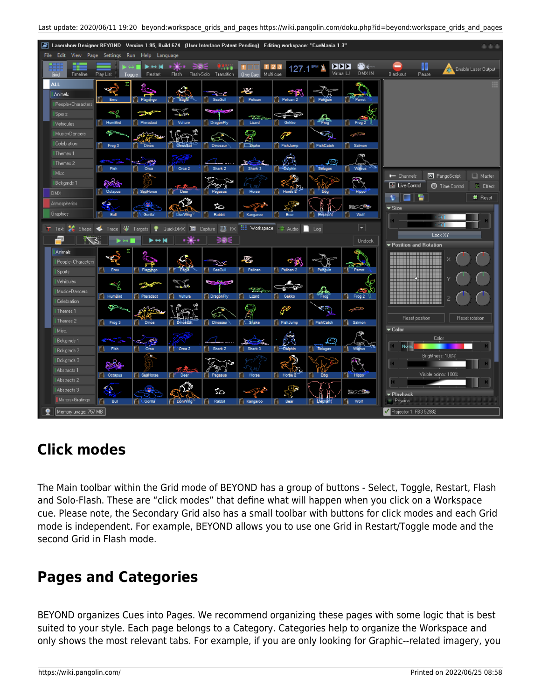

| ■ Lasershow Designer BEYOND Version 1.95, Build 674 (User Interface Patent Pending) Editing workspace: "CueMania 1.3"                                                                        | 由由市                                                                                              |
|----------------------------------------------------------------------------------------------------------------------------------------------------------------------------------------------|--------------------------------------------------------------------------------------------------|
| File Edit View Page Settings Run Help Language                                                                                                                                               |                                                                                                  |
| 127.1 <sup>BPM</sup><br>39E<br>.<br><b>Design</b><br>$123$<br>11 <sup>1</sup><br>Grid<br>Play List<br>Flash Flash-Solo Transition<br>One Cue Multi cue<br>Timeline<br>Restart<br>Toggle      | 80<br>☎←<br>∣≻।≻।≻<br><b>SA</b> Enable Laser Output<br>DMX IN<br>Virtual LJ<br>Blackout<br>Pause |
| <b>ALL</b><br>Σ<br>H<br>$\mathcal{L}_{\mathbb{C}}$<br>a,<br>Animals<br>Flamingo<br>Eagle <sup>22</sup><br>Emu<br>SeaGull<br>Pelican<br>Pelican 2<br>Fr<br>Ħ<br>Penguin<br>People+Characters  | Parrot                                                                                           |
| 54<br><b>Constitution</b><br>≪<br>Sports<br><b>CONTA</b><br>4,<br>Pteradact<br>DragonFly<br>HumBird<br>Vulture<br>Lizard<br>n<br>Gekko<br>Vehicules                                          | n<br>Frog <sub>2</sub>                                                                           |
| ⊕<br><b>R</b><br>Music+Dancers<br>فلحتى<br>معصصين كالمحامل<br>Celebration<br>FishJump<br>FishCatch<br>Fil Frog 3<br><b>Dinos</b><br>П<br><b>Dinostrat</b><br>Dinosaur<br><b>Construction</b> | জ<br>محتفى<br><b>Salmon</b>                                                                      |
| Themes <sub>1</sub><br>æ,<br>Themes 2                                                                                                                                                        | ≏                                                                                                |
| <b>Orca</b><br><b>Belugas</b><br>Fish<br>Ħ<br>Orca 2<br>Shark 2<br>Shark 3<br><b>Dalphin</b><br>Misc.<br>÷<br>Bckgrnds 1                                                                     | Warus<br><b>E</b> PangoScript<br><b>Naster</b><br><b>-</b> Channels                              |
| Pegasus<br>SeaHorse<br>Hr<br>Deer<br>Horse 2<br><b>Cotapus</b><br>Horse<br>Dog<br><b>DMX</b>                                                                                                 | <b>E</b> Live Control<br><b>5</b> Time Control<br>$\Sigma$ Effect<br>Hippo<br><b>*</b> Reset     |
| $\bullet$<br>Atmospherics<br>45<br>Ø<br>Graphics<br>Gorilla<br>Rabbit<br><b>Bull</b><br>LionWing<br>Kangaroo<br>Bear<br><b>Elephan</b><br>FI.                                                | <b>Second</b><br>$\overline{\phantom{a}}$ Size<br>Wolf<br>H<br>$\rightarrow$ 1                   |
| QuickDMX I Capture FX FX III Workspace # Audio<br>V Targets<br>$\Box$ Log<br>٠<br>Shape<br>$\triangleleft$<br>Trace<br>$T$ Text                                                              | <b>CONT</b><br>▾┆<br>Lock XY                                                                     |
| 30E                                                                                                                                                                                          | Undock<br>▼ Position and Rotation                                                                |
| Animals<br>×.<br>惠<br>People+Characters<br><b>SeaGull</b><br>Pelican<br>Pelican 2<br>Emu<br>Flammgo<br><b>Eagle</b><br>n.<br>Penguin<br>Sports                                               | ,,,,,,,,,,,,,,,,<br>-------------<br>Parrot<br>--------------                                    |
| Vehicules<br><b>SALES</b><br>रेट<br>⊰<br>$\rightarrow \infty$<br>ক∼<br><b>STARROW</b><br>€<br>Music+Dancers                                                                                  | ----------------<br>-------------------<br>----------------<br>----------------                  |
| HumBird<br><b>Pteradact</b><br>Vulture<br>DragonFly<br>Lizard<br><b>C</b> Gekko<br>n<br>Celebration<br>ا⊲و<br>هيم<br>Themes <sub>1</sub><br>Ş                                                | Frog 2<br>Ħ<br>œ<br>حيشتهم                                                                       |
| Themes 2<br>Shake<br>FishJump<br>FishCatch<br><b>Dinos</b><br>n<br><b>Dinosaur</b><br>$\begin{array}{ c c c }\n\hline\n\end{array}$ Frog 3<br>FI.<br>DinosEat                                | Reset position<br>Reset rotation<br><b>Salmon</b>                                                |
| Misc.<br>Bckgmds 1<br>霉<br>ØŚ<br><b>SEPTING AND</b>                                                                                                                                          | $\blacktriangledown$ Color<br>Color<br>Q<br>كتلاتيه<br>M<br>Norm.                                |
| <b>Orca</b><br>П<br>Shark 2<br>Fish<br><sup>*</sup> Orca 2<br>Shark 3<br><b>Dolphin</b><br><b>Belugas</b><br>n<br>П<br>Bckgmds 2<br>o<br>Bckgmds 3                                           | n<br>Warus<br>Brightness: 100%                                                                   |
| Abstracts <sub>1</sub><br>Deer<br><b>Octapus</b><br>SeaHorse<br>Horse 2<br><b>Pegasus</b><br>Horse<br>Ħ<br>П<br>Dbg<br>Abstracts 2                                                           | Visible points: 100%<br>Hippo'                                                                   |
| 40<br>學<br>Abstracts 3<br>మ<br>Mirrors+Gratings<br><b>Conilla</b><br>Bull<br>Rabbit<br>Bear<br>M<br><b>LiónWing</b><br>Kangaroo<br>Ħ<br>Ħ                                                    | BO BR<br>▼ Plavback<br>Physics<br>Ħ<br>Wolf                                                      |
| Memory usage: 757 MB                                                                                                                                                                         | Projector 1: FB3 52982                                                                           |

## **Click modes**

The Main toolbar within the Grid mode of BEYOND has a group of buttons - Select, Toggle, Restart, Flash and Solo‐Flash. These are "click modes" that define what will happen when you click on a Workspace cue. Please note, the Secondary Grid also has a small toolbar with buttons for click modes and each Grid mode is independent. For example, BEYOND allows you to use one Grid in Restart/Toggle mode and the second Grid in Flash mode.

### **Pages and Categories**

BEYOND organizes Cues into Pages. We recommend organizing these pages with some logic that is best suited to your style. Each page belongs to a Category. Categories help to organize the Workspace and only shows the most relevant tabs. For example, if you are only looking for Graphic-‐related imagery, you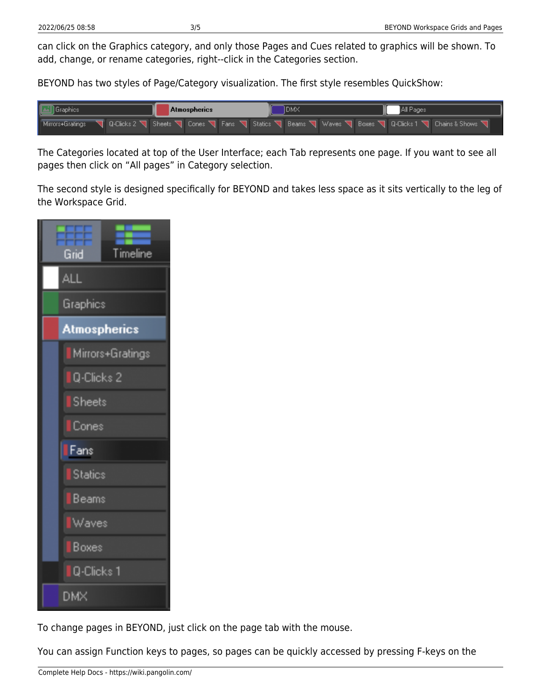can click on the Graphics category, and only those Pages and Cues related to graphics will be shown. To add, change, or rename categories, right-‐click in the Categories section.

BEYOND has two styles of Page/Category visualization. The first style resembles QuickShow:



The Categories located at top of the User Interface; each Tab represents one page. If you want to see all pages then click on "All pages" in Category selection.

The second style is designed specifically for BEYOND and takes less space as it sits vertically to the leg of the Workspace Grid.



To change pages in BEYOND, just click on the page tab with the mouse.

You can assign Function keys to pages, so pages can be quickly accessed by pressing F-keys on the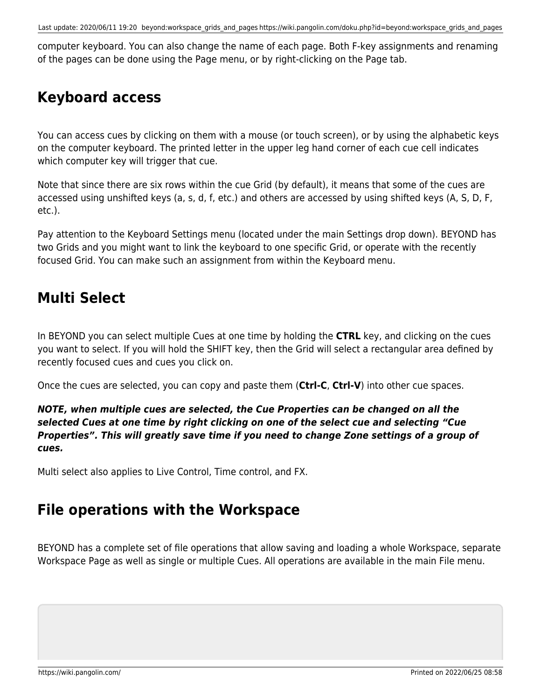computer keyboard. You can also change the name of each page. Both F-key assignments and renaming of the pages can be done using the Page menu, or by right-clicking on the Page tab.

### **Keyboard access**

You can access cues by clicking on them with a mouse (or touch screen), or by using the alphabetic keys on the computer keyboard. The printed letter in the upper leg hand corner of each cue cell indicates which computer key will trigger that cue.

Note that since there are six rows within the cue Grid (by default), it means that some of the cues are accessed using unshifted keys (a, s, d, f, etc.) and others are accessed by using shifted keys (A, S, D, F, etc.).

Pay attention to the Keyboard Settings menu (located under the main Settings drop down). BEYOND has two Grids and you might want to link the keyboard to one specific Grid, or operate with the recently focused Grid. You can make such an assignment from within the Keyboard menu.

#### **Multi Select**

In BEYOND you can select multiple Cues at one time by holding the **CTRL** key, and clicking on the cues you want to select. If you will hold the SHIFT key, then the Grid will select a rectangular area defined by recently focused cues and cues you click on.

Once the cues are selected, you can copy and paste them (**Ctrl‐C**, **Ctrl‐V**) into other cue spaces.

#### *NOTE, when multiple cues are selected, the Cue Properties can be changed on all the selected Cues at one time by right clicking on one of the select cue and selecting "Cue Properties". This will greatly save time if you need to change Zone settings of a group of cues.*

Multi select also applies to Live Control, Time control, and FX.

#### **File operations with the Workspace**

BEYOND has a complete set of file operations that allow saving and loading a whole Workspace, separate Workspace Page as well as single or multiple Cues. All operations are available in the main File menu.